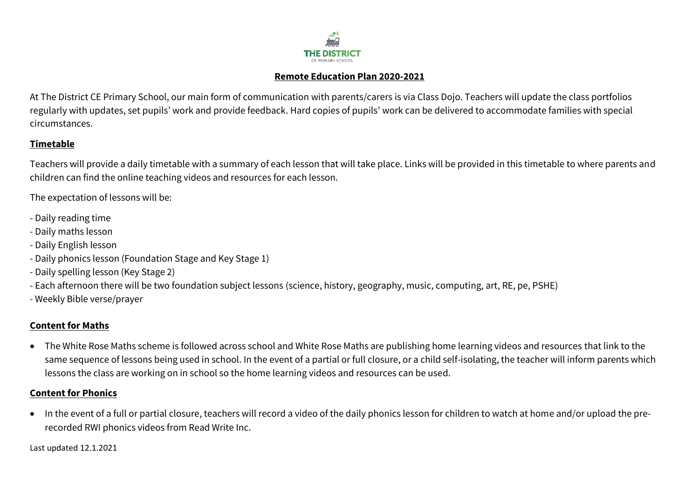

#### **Remote Education Plan 2020-2021**

At The District CE Primary School, our main form of communication with parents/carers is via Class Dojo. Teachers will update the class portfolios regularly with updates, set pupils' work and provide feedback. Hard copies of pupils' work can be delivered to accommodate families with special circumstances.

# **Timetable**

Teachers will provide a daily timetable with a summary of each lesson that will take place. Links will be provided in this timetable to where parents and children can find the online teaching videos and resources for each lesson.

The expectation of lessons will be:

- Daily reading time
- Daily maths lesson
- Daily English lesson
- Daily phonics lesson (Foundation Stage and Key Stage 1)
- Daily spelling lesson (Key Stage 2)
- Each afternoon there will be two foundation subject lessons (science, history, geography, music, computing, art, RE, pe, PSHE)
- Weekly Bible verse/prayer

# **Content for Maths**

• The White Rose Maths scheme is followed across school and White Rose Maths are publishing home learning videos and resources that link to the same sequence of lessons being used in school. In the event of a partial or full closure, or a child self-isolating, the teacher will inform parents which lessons the class are working on in school so the home learning videos and resources can be used.

# **Content for Phonics**

 In the event of a full or partial closure, teachers will record a video of the daily phonics lesson for children to watch at home and/or upload the prerecorded RWI phonics videos from Read Write Inc.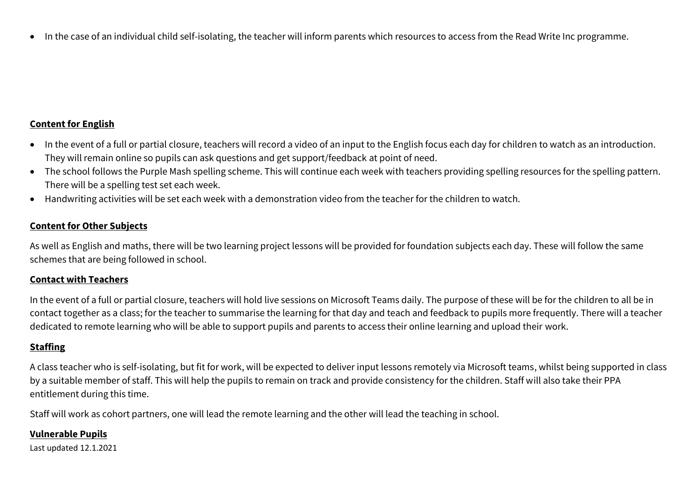• In the case of an individual child self-isolating, the teacher will inform parents which resources to access from the Read Write Inc programme.

## **Content for English**

- In the event of a full or partial closure, teachers will record a video of an input to the English focus each day for children to watch as an introduction. They will remain online so pupils can ask questions and get support/feedback at point of need.
- The school follows the Purple Mash spelling scheme. This will continue each week with teachers providing spelling resources for the spelling pattern. There will be a spelling test set each week.
- Handwriting activities will be set each week with a demonstration video from the teacher for the children to watch.

## **Content for Other Subjects**

As well as English and maths, there will be two learning project lessons will be provided for foundation subjects each day. These will follow the same schemes that are being followed in school.

#### **Contact with Teachers**

In the event of a full or partial closure, teachers will hold live sessions on Microsoft Teams daily. The purpose of these will be for the children to all be in contact together as a class; for the teacher to summarise the learning for that day and teach and feedback to pupils more frequently. There will a teacher dedicated to remote learning who will be able to support pupils and parents to access their online learning and upload their work.

# **Staffing**

A class teacher who is self-isolating, but fit for work, will be expected to deliver input lessons remotely via Microsoft teams, whilst being supported in class by a suitable member of staff. This will help the pupils to remain on track and provide consistency for the children. Staff will also take their PPA entitlement during this time.

Staff will work as cohort partners, one will lead the remote learning and the other will lead the teaching in school.

#### **Vulnerable Pupils**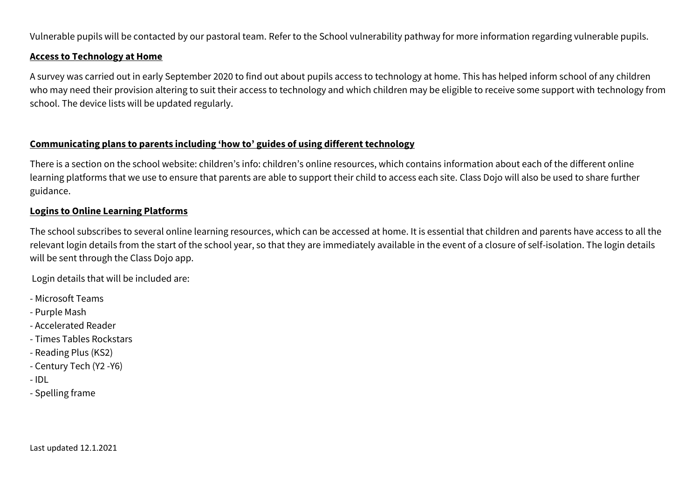Vulnerable pupils will be contacted by our pastoral team. Refer to the School vulnerability pathway for more information regarding vulnerable pupils.

#### **Access to Technology at Home**

A survey was carried out in early September 2020 to find out about pupils access to technology at home. This has helped inform school of any children who may need their provision altering to suit their access to technology and which children may be eligible to receive some support with technology from school. The device lists will be updated regularly.

# **Communicating plans to parents including 'how to' guides of using different technology**

There is a section on the school website: children's info: children's online resources, which contains information about each of the different online learning platforms that we use to ensure that parents are able to support their child to access each site. Class Dojo will also be used to share further guidance.

# **Logins to Online Learning Platforms**

The school subscribes to several online learning resources, which can be accessed at home. It is essential that children and parents have access to all the relevant login details from the start of the school year, so that they are immediately available in the event of a closure of self-isolation. The login details will be sent through the Class Dojo app.

Login details that will be included are:

- Microsoft Teams
- Purple Mash
- Accelerated Reader
- Times Tables Rockstars
- Reading Plus (KS2)
- Century Tech (Y2 -Y6)
- IDL
- Spelling frame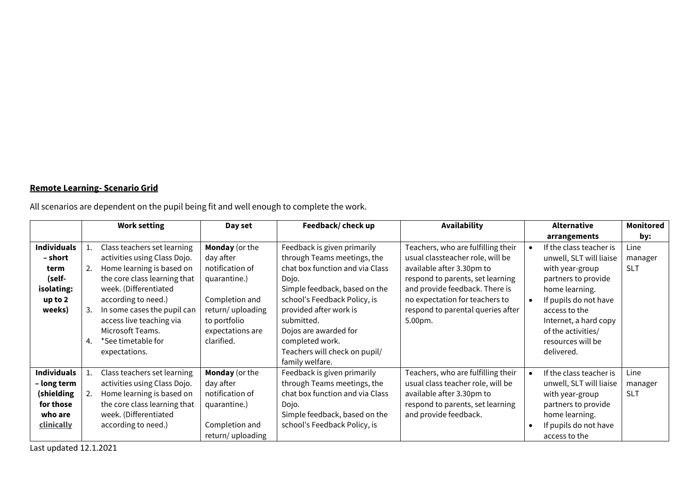# **Remote Learning- Scenario Grid**

All scenarios are dependent on the pupil being fit and well enough to complete the work.

|                    |    | <b>Work setting</b>          | Day set               | Feedback/ check up              | <b>Availability</b>                |           | <b>Alternative</b>      | <b>Monitored</b> |
|--------------------|----|------------------------------|-----------------------|---------------------------------|------------------------------------|-----------|-------------------------|------------------|
|                    |    |                              |                       |                                 |                                    |           | arrangements            | by:              |
| <b>Individuals</b> | 1. | Class teachers set learning  | Monday (or the        | Feedback is given primarily     | Teachers, who are fulfilling their |           | If the class teacher is | Line             |
| – short            |    | activities using Class Dojo. | day after             | through Teams meetings, the     | usual classteacher role, will be   |           | unwell, SLT will liaise | manager          |
| term               | 2. | Home learning is based on    | notification of       | chat box function and via Class | available after 3.30pm to          |           | with year-group         | <b>SLT</b>       |
| (self-             |    | the core class learning that | quarantine.)          | Dojo.                           | respond to parents, set learning   |           | partners to provide     |                  |
| isolating:         |    | week. (Differentiated        |                       | Simple feedback, based on the   | and provide feedback. There is     |           | home learning.          |                  |
| up to 2            |    | according to need.)          | Completion and        | school's Feedback Policy, is    | no expectation for teachers to     |           | If pupils do not have   |                  |
| weeks)             | З. | In some cases the pupil can  | return/uploading      | provided after work is          | respond to parental queries after  |           | access to the           |                  |
|                    |    | access live teaching via     | to portfolio          | submitted.                      | 5.00pm.                            |           | Internet, a hard copy   |                  |
|                    |    | Microsoft Teams.             | expectations are      | Dojos are awarded for           |                                    |           | of the activities/      |                  |
|                    | 4. | *See timetable for           | clarified.            | completed work.                 |                                    |           | resources will be       |                  |
|                    |    | expectations.                |                       | Teachers will check on pupil/   |                                    |           | delivered.              |                  |
|                    |    |                              |                       | family welfare.                 |                                    |           |                         |                  |
| <b>Individuals</b> | 1. | Class teachers set learning  | <b>Monday</b> (or the | Feedback is given primarily     | Teachers, who are fulfilling their | $\bullet$ | If the class teacher is | Line             |
| - long term        |    | activities using Class Dojo. | day after             | through Teams meetings, the     | usual class teacher role, will be  |           | unwell, SLT will liaise | manager          |
| (shielding         | 2. | Home learning is based on    | notification of       | chat box function and via Class | available after 3.30pm to          |           | with year-group         | <b>SLT</b>       |
| for those          |    | the core class learning that | quarantine.)          | Dojo.                           | respond to parents, set learning   |           | partners to provide     |                  |
| who are            |    | week. (Differentiated        |                       | Simple feedback, based on the   | and provide feedback.              |           | home learning.          |                  |
| clinically         |    | according to need.)          | Completion and        | school's Feedback Policy, is    |                                    | $\bullet$ | If pupils do not have   |                  |
|                    |    |                              | return/uploading      |                                 |                                    |           | access to the           |                  |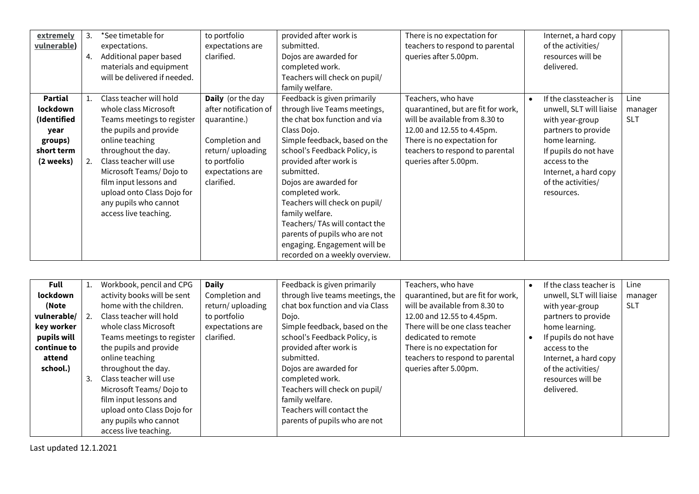| extremely<br>vulnerable)                                                                | 3.<br>4. | *See timetable for<br>expectations.<br>Additional paper based<br>materials and equipment<br>will be delivered if needed.                                                                                                                                                                                          | to portfolio<br>expectations are<br>clarified.                                                                                                            | provided after work is<br>submitted.<br>Dojos are awarded for<br>completed work.<br>Teachers will check on pupil/<br>family welfare.                                                                                                                                                                                                                                                                                                                      | There is no expectation for<br>teachers to respond to parental<br>queries after 5.00pm.                                                                                                                             |           | Internet, a hard copy<br>of the activities/<br>resources will be<br>delivered.                                                                                                                                       |                               |
|-----------------------------------------------------------------------------------------|----------|-------------------------------------------------------------------------------------------------------------------------------------------------------------------------------------------------------------------------------------------------------------------------------------------------------------------|-----------------------------------------------------------------------------------------------------------------------------------------------------------|-----------------------------------------------------------------------------------------------------------------------------------------------------------------------------------------------------------------------------------------------------------------------------------------------------------------------------------------------------------------------------------------------------------------------------------------------------------|---------------------------------------------------------------------------------------------------------------------------------------------------------------------------------------------------------------------|-----------|----------------------------------------------------------------------------------------------------------------------------------------------------------------------------------------------------------------------|-------------------------------|
| <b>Partial</b><br>lockdown<br>(Identified<br>year<br>groups)<br>short term<br>(2 weeks) | 2.       | Class teacher will hold<br>whole class Microsoft<br>Teams meetings to register<br>the pupils and provide<br>online teaching<br>throughout the day.<br>Class teacher will use<br>Microsoft Teams/Dojo to<br>film input lessons and<br>upload onto Class Dojo for<br>any pupils who cannot<br>access live teaching. | <b>Daily</b> (or the day<br>after notification of<br>quarantine.)<br>Completion and<br>return/uploading<br>to portfolio<br>expectations are<br>clarified. | Feedback is given primarily<br>through live Teams meetings,<br>the chat box function and via<br>Class Dojo.<br>Simple feedback, based on the<br>school's Feedback Policy, is<br>provided after work is<br>submitted.<br>Dojos are awarded for<br>completed work.<br>Teachers will check on pupil/<br>family welfare.<br>Teachers/ TAs will contact the<br>parents of pupils who are not<br>engaging. Engagement will be<br>recorded on a weekly overview. | Teachers, who have<br>quarantined, but are fit for work,<br>will be available from 8.30 to<br>12.00 and 12.55 to 4.45pm.<br>There is no expectation for<br>teachers to respond to parental<br>queries after 5.00pm. | $\bullet$ | If the classteacher is<br>unwell, SLT will liaise<br>with year-group<br>partners to provide<br>home learning.<br>If pupils do not have<br>access to the<br>Internet, a hard copy<br>of the activities/<br>resources. | Line<br>manager<br><b>SLT</b> |

| Full        | T. | Workbook, pencil and CPG    | <b>Daily</b>     | Feedback is given primarily      | Teachers, who have                 | If the class teacher is | Line            |
|-------------|----|-----------------------------|------------------|----------------------------------|------------------------------------|-------------------------|-----------------|
| lockdown    |    | activity books will be sent | Completion and   | through live teams meetings, the | quarantined, but are fit for work, | unwell, SLT will liaise | manager         |
| (Note       |    | home with the children.     | return/uploading | chat box function and via Class  | will be available from 8.30 to     | with year-group         | SL <sub>1</sub> |
| vulnerable/ | 2. | Class teacher will hold     | to portfolio     | Dojo.                            | 12.00 and 12.55 to 4.45pm.         | partners to provide     |                 |
| key worker  |    | whole class Microsoft       | expectations are | Simple feedback, based on the    | There will be one class teacher    | home learning.          |                 |
| pupils will |    | Teams meetings to register  | clarified.       | school's Feedback Policy, is     | dedicated to remote                | If pupils do not have   |                 |
| continue to |    | the pupils and provide      |                  | provided after work is           | There is no expectation for        | access to the           |                 |
| attend      |    | online teaching             |                  | submitted.                       | teachers to respond to parental    | Internet, a hard copy   |                 |
| school.)    |    | throughout the day.         |                  | Dojos are awarded for            | queries after 5.00pm.              | of the activities/      |                 |
|             | 3. | Class teacher will use      |                  | completed work.                  |                                    | resources will be       |                 |
|             |    | Microsoft Teams/Dojo to     |                  | Teachers will check on pupil/    |                                    | delivered.              |                 |
|             |    | film input lessons and      |                  | family welfare.                  |                                    |                         |                 |
|             |    | upload onto Class Dojo for  |                  | Teachers will contact the        |                                    |                         |                 |
|             |    | any pupils who cannot       |                  | parents of pupils who are not    |                                    |                         |                 |
|             |    | access live teaching.       |                  |                                  |                                    |                         |                 |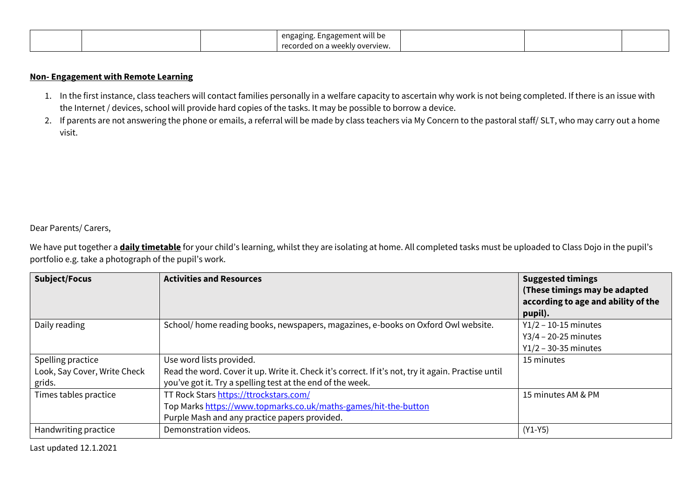|  | <br>. Engagement will be<br>engaging.               |  |  |
|--|-----------------------------------------------------|--|--|
|  | $r_{\Omega}$<br>ז weekly overview.<br>on a<br>oraea |  |  |

## **Non- Engagement with Remote Learning**

- 1. In the first instance, class teachers will contact families personally in a welfare capacity to ascertain why work is not being completed. If there is an issue with the Internet / devices, school will provide hard copies of the tasks. It may be possible to borrow a device.
- 2. If parents are not answering the phone or emails, a referral will be made by class teachers via My Concern to the pastoral staff/ SLT, who may carry out a home visit.

#### Dear Parents/ Carers,

We have put together a **daily timetable** for your child's learning, whilst they are isolating at home. All completed tasks must be uploaded to Class Dojo in the pupil's portfolio e.g. take a photograph of the pupil's work.

| <b>Subject/Focus</b>         | <b>Activities and Resources</b>                                                                     | <b>Suggested timings</b><br>(These timings may be adapted<br>according to age and ability of the<br>pupil). |
|------------------------------|-----------------------------------------------------------------------------------------------------|-------------------------------------------------------------------------------------------------------------|
| Daily reading                | School/ home reading books, newspapers, magazines, e-books on Oxford Owl website.                   | $Y1/2 - 10 - 15$ minutes                                                                                    |
|                              |                                                                                                     | $Y3/4 - 20-25$ minutes<br>$Y1/2 - 30-35$ minutes                                                            |
| Spelling practice            | Use word lists provided.                                                                            | 15 minutes                                                                                                  |
| Look, Say Cover, Write Check | Read the word. Cover it up. Write it. Check it's correct. If it's not, try it again. Practise until |                                                                                                             |
| grids.                       | you've got it. Try a spelling test at the end of the week.                                          |                                                                                                             |
| Times tables practice        | TT Rock Stars https://ttrockstars.com/                                                              | 15 minutes AM & PM                                                                                          |
|                              | Top Marks https://www.topmarks.co.uk/maths-games/hit-the-button                                     |                                                                                                             |
|                              | Purple Mash and any practice papers provided.                                                       |                                                                                                             |
| Handwriting practice         | Demonstration videos.                                                                               | $(Y1-Y5)$                                                                                                   |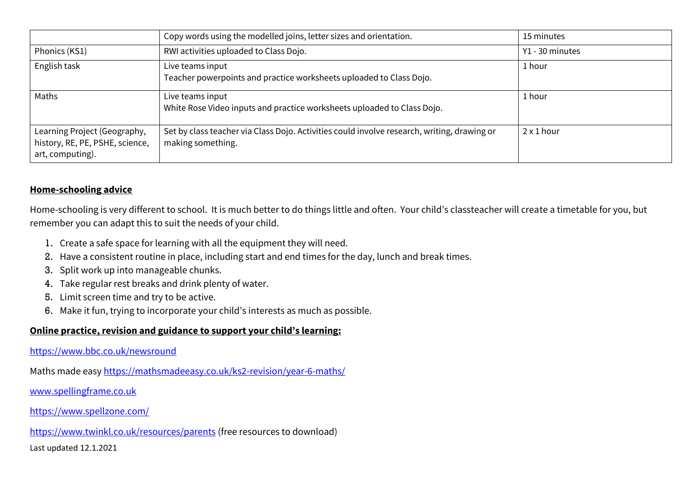|                                                                                     | Copy words using the modelled joins, letter sizes and orientation.                                               | 15 minutes        |
|-------------------------------------------------------------------------------------|------------------------------------------------------------------------------------------------------------------|-------------------|
| Phonics (KS1)                                                                       | RWI activities uploaded to Class Dojo.                                                                           | Y1 - 30 minutes   |
| English task                                                                        | Live teams input<br>Teacher powerpoints and practice worksheets uploaded to Class Dojo.                          | 1 hour            |
| Maths                                                                               | Live teams input<br>White Rose Video inputs and practice worksheets uploaded to Class Dojo.                      | 1 hour            |
| Learning Project (Geography,<br>history, RE, PE, PSHE, science,<br>art, computing). | Set by class teacher via Class Dojo. Activities could involve research, writing, drawing or<br>making something. | $2 \times 1$ hour |

## **Home-schooling advice**

Home-schooling is very different to school. It is much better to do things little and often. Your child's classteacher will create a timetable for you, but remember you can adapt this to suit the needs of your child.

- 1. Create a safe space for learning with all the equipment they will need.
- 2. Have a consistent routine in place, including start and end times for the day, lunch and break times.
- 3. Split work up into manageable chunks.
- 4. Take regular rest breaks and drink plenty of water.
- 5. Limit screen time and try to be active.
- 6. Make it fun, trying to incorporate your child's interests as much as possible.

## **Online practice, revision and guidance to support your child's learning:**

<https://www.bbc.co.uk/newsround>

Maths made easy<https://mathsmadeeasy.co.uk/ks2-revision/year-6-maths/>

[www.spellingframe.co.uk](http://www.spellingframe.co.uk/)

<https://www.spellzone.com/>

<https://www.twinkl.co.uk/resources/parents> (free resources to download)